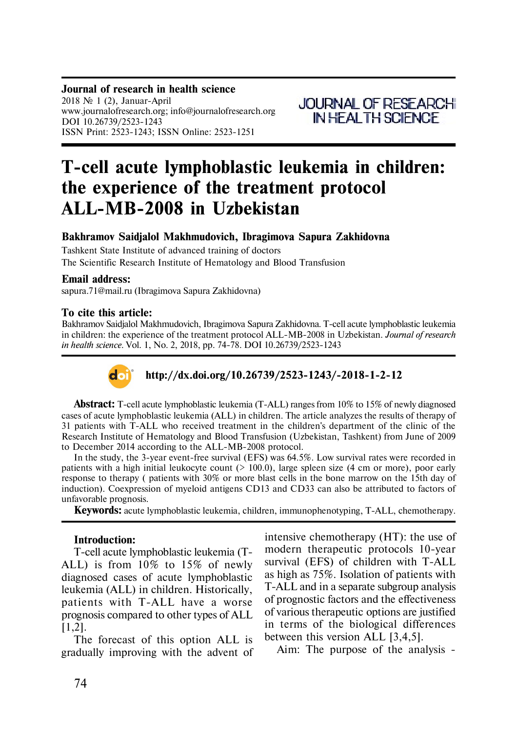### **Journal of research in health science** 2018  $\mathcal{N}$  1 (2), Januar-April www.journalofresearch.org; info@journalofresearch.org

DOI 10.26739/2523-1243 ISSN Print: 2523-1243; ISSN Online: 2523-1251

# **T-cell acute lymphoblastic leukemia in children: the experience of the treatment protocol ALL-MB-2008 in Uzbekistan**

### **Bakhramov Saidjalol Makhmudovich, Ibragimova Sapura Zakhidovna**

Tashkent State Institute of advanced training of doctors The Scientific Research Institute of Hematology and Blood Transfusion

### **Email address:**

sapura.71@mail.ru (Ibragimova Sapura Zakhidovna)

### **To cite this article:**

Bakhramov Saidjalol Makhmudovich, Ibragimova Sapura Zakhidovna. T-cell acute lymphoblastic leukemia in children: the experience of the treatment protocol ALL-MB-2008 in Uzbekistan. *Journal of research in health science.* Vol. 1, No. 2, 2018, pp. 74-78. DOI 10.26739/2523-1243



## **http://dx.doi.org/10.26739/2523-1243/-2018-1-2-12**

**Abstract:** T-cell acute lymphoblastic leukemia (T-ALL) ranges from 10% to 15% of newly diagnosed cases of acute lymphoblastic leukemia (ALL) in children. The article analyzes the results of therapy of 31 patients with T-ALL who received treatment in the children's department of the clinic of the Research Institute of Hematology and Blood Transfusion (Uzbekistan, Tashkent) from June of 2009 to December 2014 according to the ALL-MB-2008 protocol.

In the study, the 3-year event-free survival (EFS) was 64.5%. Low survival rates were recorded in patients with a high initial leukocyte count  $(> 100.0)$ , large spleen size  $(4 \text{ cm or more})$ , poor early response to therapy ( patients with 30% or more blast cells in the bone marrow on the 15th day of induction). Coexpression of myeloid antigens CD13 and CD33 can also be attributed to factors of unfavorable prognosis.

**Keywords:** acute lymphoblastic leukemia, children, immunophenotyping, T-ALL, chemotherapy.

### **Introduction:**

T-cell acute lymphoblastic leukemia (T-ALL) is from 10% to 15% of newly diagnosed cases of acute lymphoblastic leukemia (ALL) in children. Historically, patients with T-ALL have a worse prognosis compared to other types of ALL [1,2].

The forecast of this option ALL is gradually improving with the advent of intensive chemotherapy (HT): the use of modern therapeutic protocols 10-year survival (EFS) of children with T-ALL as high as 75%. Isolation of patients with T-ALL and in a separate subgroup analysis of prognostic factors and the effectiveness of various therapeutic options are justified in terms of the biological differences between this version ALL [3,4,5].

Aim: The purpose of the analysis -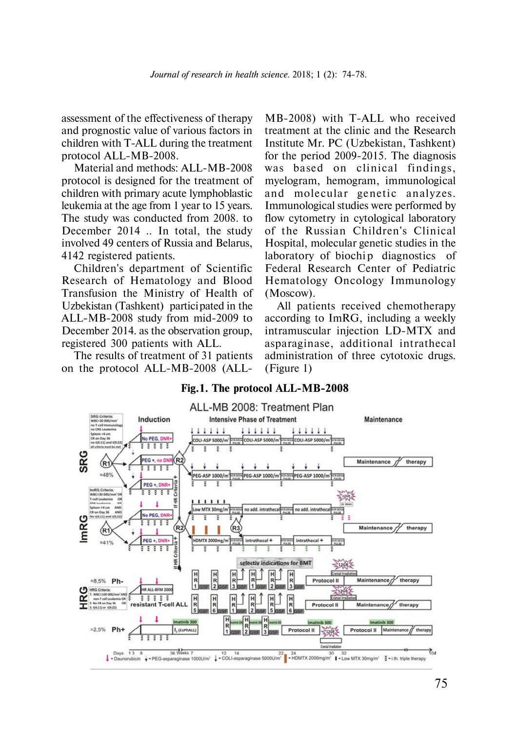assessment of the effectiveness of therapy and prognostic value of various factors in children with T-ALL during the treatment protocol ALL-MB-2008.

Material and methods: ALL-MB-2008 protocol is designed for the treatment of children with primary acute lymphoblastic leukemia at the age from 1 year to 15 years. The study was conducted from 2008. to December 2014 .. In total, the study involved 49 centers of Russia and Belarus, 4142 registered patients.

Children's department of Scientific Research of Hematology and Blood Transfusion the Ministry of Health of Uzbekistan (Tashkent) participated in the ALL-MB-2008 study from mid-2009 to December 2014. as the observation group, registered 300 patients with ALL.

The results of treatment of 31 patients on the protocol ALL-MB-2008 (ALL-

MB-2008) with T-ALL who received treatment at the clinic and the Research Institute Mr. PC (Uzbekistan, Tashkent) for the period 2009-2015. The diagnosis was based on clinical findings, myelogram, hemogram, immunological and molecular genetic analyzes. Immunological studies were performed by flow cytometry in cytological laboratory of the Russian Children's Clinical Hospital, molecular genetic studies in the laboratory of biochip diagnostics of Federal Research Center of Pediatric Hematology Oncology Immunology (Moscow).

All patients received chemotherapy according to ImRG, including a weekly intramuscular injection LD-MTX and asparaginase, additional intrathecal administration of three cytotoxic drugs. (Figure 1)



### **Fig.1. The protocol ALL-MB-2008**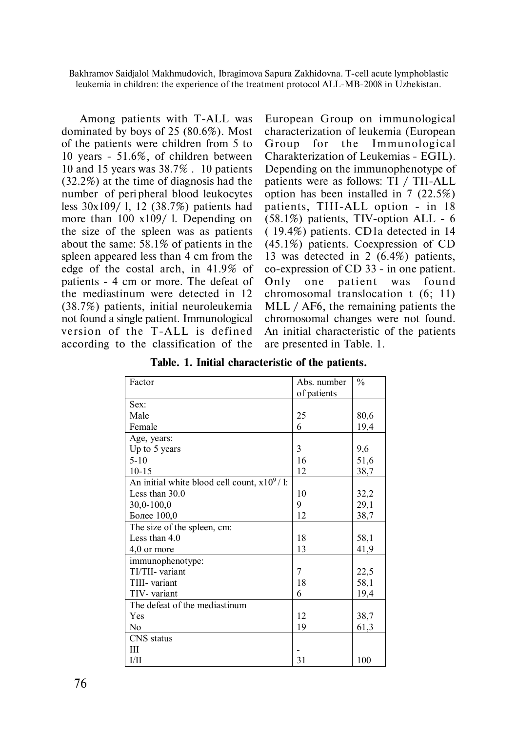Bakhramov Saidjalol Makhmudovich, Ibragimova Sapura Zakhidovna. T-cell acute lymphoblastic leukemia in children: the experience of the treatment protocol ALL-MB-2008 in Uzbekistan.

 Among patients with T-ALL was dominated by boys of 25 (80.6%). Most of the patients were children from 5 to 10 years - 51.6%, of children between 10 and 15 years was 38.7% . 10 patients (32.2%) at the time of diagnosis had the number of peri pheral blood leukocytes less 30x109/ l, 12 (38.7%) patients had more than 100 x109/ l. Depending on the size of the spleen was as patients about the same: 58.1% of patients in the spleen appeared less than 4 cm from the edge of the costal arch, in 41.9% of patients - 4 cm or more. The defeat of the mediastinum were detected in 12 (38.7%) patients, initial neuroleukemia not found a single patient. Immunological version of the T-ALL is defined according to the classification of the

European Group on immunological characterization of leukemia (European Group for the Immunological Charakterization of Leukemias - EGIL). Depending on the immunophenotype of patients were as follows: TI / TII-ALL option has been installed in 7 (22.5%) patients, TIII-ALL option - in 18 (58.1%) patients, TIV-option ALL - 6 ( 19.4%) patients. CD1a detected in 14 (45.1%) patients. Coexpression of CD 13 was detected in 2 (6.4%) patients, co-expression of CD 33 - in one patient. Only one patient was found chromosomal translocation t (6; 11) MLL / AF6, the remaining patients the chromosomal changes were not found. An initial characteristic of the patients are presented in Table. 1.

| Factor                                         | Abs. number | $\frac{0}{0}$ |
|------------------------------------------------|-------------|---------------|
|                                                | of patients |               |
| Sex:                                           |             |               |
| Male                                           | 25          | 80,6          |
| Female                                         | 6           | 19,4          |
| Age, years:                                    |             |               |
| Up to 5 years                                  | 3           | 9,6           |
| $5 - 10$                                       | 16          | 51,6          |
| $10 - 15$                                      | 12          | 38,7          |
| An initial white blood cell count, $x10^9/1$ : |             |               |
| Less than $30.0$                               | 10          | 32,2          |
| $30,0-100,0$                                   | 9           | 29,1          |
| Более 100,0                                    | 12          | 38,7          |
| The size of the spleen, cm:                    |             |               |
| Less than $4.0$                                | 18          | 58,1          |
| 4,0 or more                                    | 13          | 41,9          |
| immunophenotype:                               |             |               |
| TI/TII- variant                                | 7           | 22,5          |
| TIII- variant                                  | 18          | 58,1          |
| TIV- variant                                   | 6           | 19,4          |
| The defeat of the mediastinum                  |             |               |
| Yes                                            | 12          | 38,7          |
| N <sub>o</sub>                                 | 19          | 61,3          |
| CNS status                                     |             |               |
| Ш                                              |             |               |
| I/II                                           | 31          | 100           |

**Table. 1. Initial characteristic of the patients.**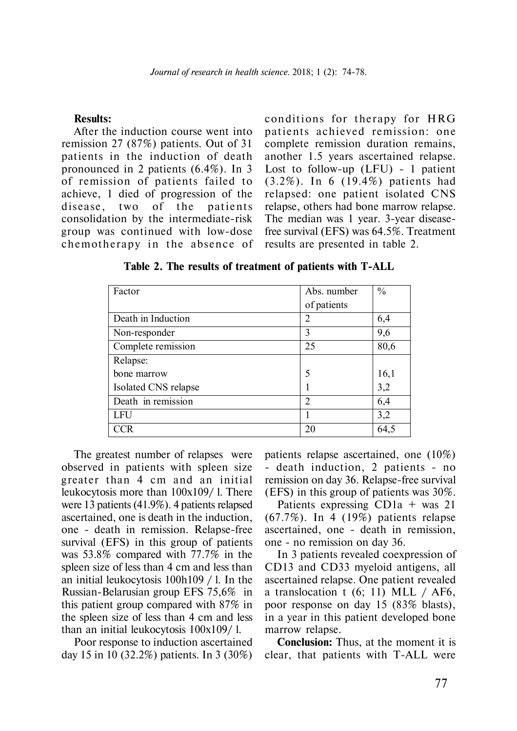#### **Results:**

After the induction course went into remission 27 (87%) patients. Out of 31 patients in the induction of death pronounced in 2 patients (6.4%). In 3 of remission of patients failed to achieve, 1 died of progression of the disease, two of the patients consolidation by the intermediate-risk group was continued with low-dose chemotherapy in the absence of conditions for therapy for HRG patients achieved remission: one complete remission duration remains, another 1.5 years ascertained relapse. Lost to follow-up (LFU) - 1 patient (3.2%). In 6 (19.4%) patients had relapsed: one patient isolated CNS relapse, others had bone marrow relapse. The median was 1 year. 3-year diseasefree survival (EFS) was 64.5%. Treatment results are presented in table 2.

| Factor               | Abs. number    | $\frac{0}{0}$ |
|----------------------|----------------|---------------|
|                      | of patients    |               |
| Death in Induction   | 2              | 6,4           |
| Non-responder        | 3              | 9,6           |
| Complete remission   | 25             | 80,6          |
| Relapse:             |                |               |
| bone marrow          |                | 16,1          |
| Isolated CNS relapse |                | 3,2           |
| Death in remission   | $\overline{2}$ | 6,4           |
| LFU                  |                | 3,2           |
| TCR                  | 20             | 64,5          |

**Table 2. The results of treatment of patients with T-ALL**

The greatest number of relapses were observed in patients with spleen size greater than 4 cm and an initial leukocytosis more than 100x109/ l. There were 13 patients (41.9%). 4 patients relapsed ascertained, one is death in the induction, one - death in remission. Relapse-free survival (EFS) in this group of patients was 53.8% compared with 77.7% in the spleen size of less than 4 cm and less than an initial leukocytosis 100h109 / l. In the Russian-Belarusian group EFS 75,6% in this patient group compared with 87% in the spleen size of less than 4 cm and less than an initial leukocytosis 100x109/ l.

Poor response to induction ascertained day 15 in 10 (32.2%) patients. In 3 (30%)

patients relapse ascertained, one (10%) - death induction, 2 patients - no remission on day 36. Relapse-free survival (EFS) in this group of patients was 30%.

Patients expressing CD1a + was 21 (67.7%). In 4 (19%) patients relapse ascertained, one - death in remission, one - no remission on day 36.

In 3 patients revealed coexpression of CD13 and CD33 myeloid antigens, all ascertained relapse. One patient revealed a translocation t  $(6; 11)$  MLL / AF6, poor response on day 15 (83% blasts), in a year in this patient developed bone marrow relapse.

**Conclusion:** Thus, at the moment it is clear, that patients with T-ALL were